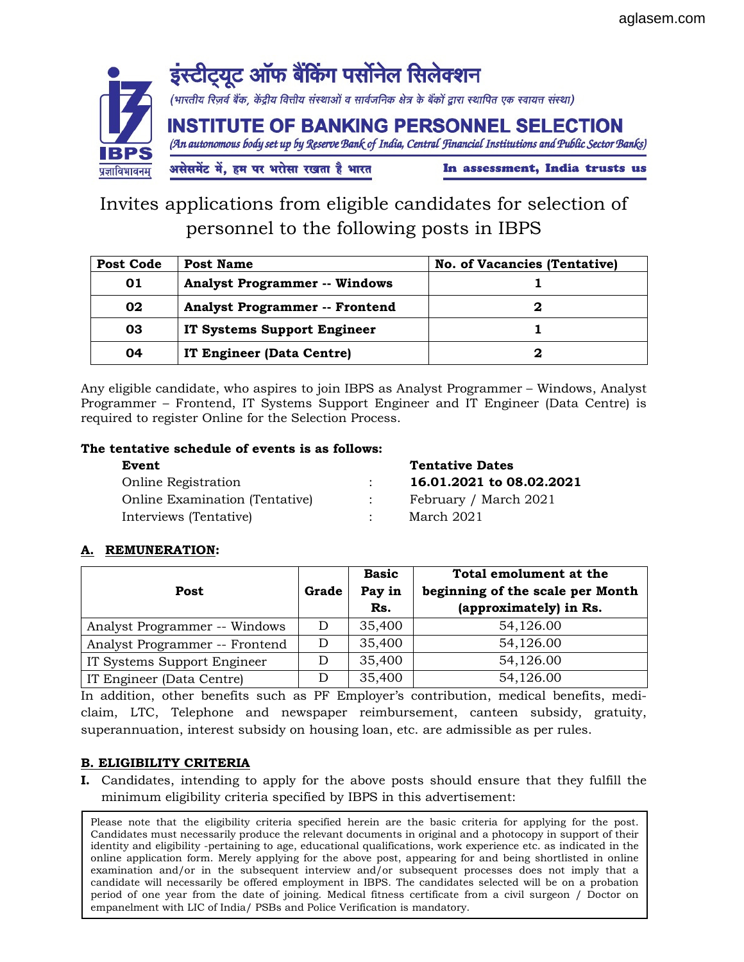

Invites applications from eligible candidates for selection of personnel to the following posts in IBPS

| <b>Post Code</b> | Post Name                             | <b>No. of Vacancies (Tentative)</b> |
|------------------|---------------------------------------|-------------------------------------|
| 01               | <b>Analyst Programmer -- Windows</b>  |                                     |
| 02               | <b>Analyst Programmer -- Frontend</b> |                                     |
| 03               | IT Systems Support Engineer           |                                     |
| 04               | IT Engineer (Data Centre)             |                                     |

Any eligible candidate, who aspires to join IBPS as Analyst Programmer – Windows, Analyst Programmer – Frontend, IT Systems Support Engineer and IT Engineer (Data Centre) is required to register Online for the Selection Process.

# The tentative schedule of events is as follows:

Online Registration : 16.01.2021 to 08.02.2021 Online Examination (Tentative) : February / March 2021 Interviews (Tentative) : March 2021

Event Tentative Dates

# A. REMUNERATION:

|                                |       | <b>Basic</b> | Total emolument at the           |
|--------------------------------|-------|--------------|----------------------------------|
| Post                           | Grade | Pay in       | beginning of the scale per Month |
|                                |       | Rs.          | (approximately) in Rs.           |
| Analyst Programmer -- Windows  | D     | 35,400       | 54,126.00                        |
| Analyst Programmer -- Frontend | D     | 35,400       | 54,126.00                        |
| IT Systems Support Engineer    |       | 35,400       | 54,126.00                        |
| IT Engineer (Data Centre)      |       | 35,400       | 54,126.00                        |

In addition, other benefits such as PF Employer's contribution, medical benefits, mediclaim, LTC, Telephone and newspaper reimbursement, canteen subsidy, gratuity, superannuation, interest subsidy on housing loan, etc. are admissible as per rules.

# B. ELIGIBILITY CRITERIA

I. Candidates, intending to apply for the above posts should ensure that they fulfill the minimum eligibility criteria specified by IBPS in this advertisement:

period of one year from the date of joining. Medical fitness certificate from a civil surgeon / Doctor on Please note that the eligibility criteria specified herein are the basic criteria for applying for the post. Candidates must necessarily produce the relevant documents in original and a photocopy in support of their identity and eligibility -pertaining to age, educational qualifications, work experience etc. as indicated in the online application form. Merely applying for the above post, appearing for and being shortlisted in online examination and/or in the subsequent interview and/or subsequent processes does not imply that a candidate will necessarily be offered employment in IBPS. The candidates selected will be on a probation empanelment with LIC of India/ PSBs and Police Verification is mandatory.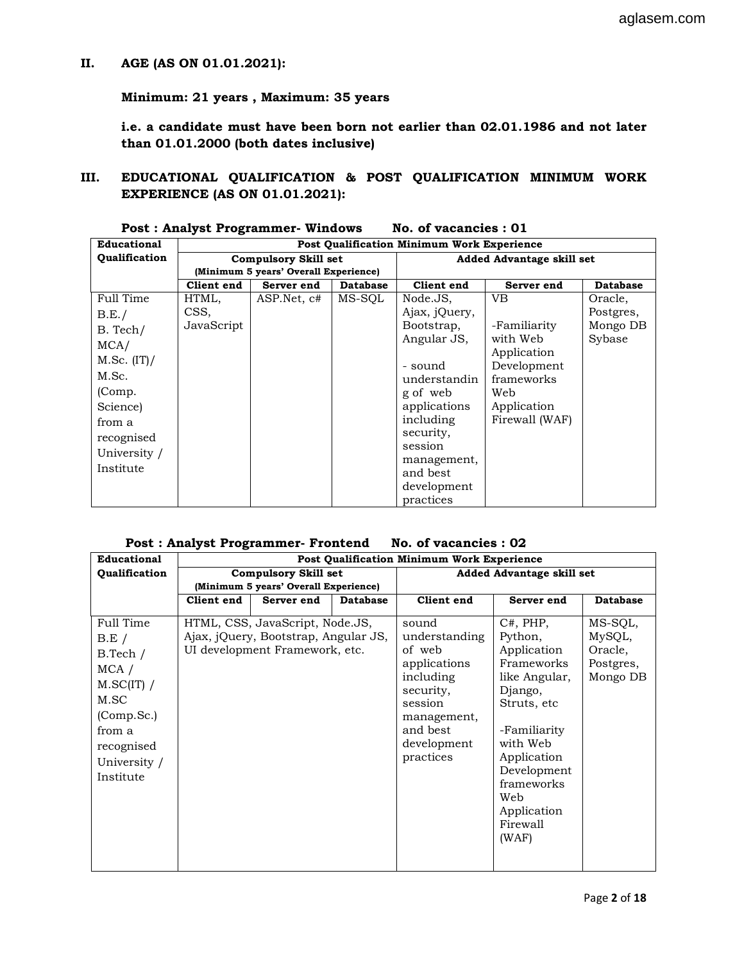# II. AGE (AS ON 01.01.2021):

Minimum: 21 years , Maximum: 35 years

i.e. a candidate must have been born not earlier than 02.01.1986 and not later than 01.01.2000 (both dates inclusive)

III. EDUCATIONAL QUALIFICATION & POST QUALIFICATION MINIMUM WORK EXPERIENCE (AS ON 01.01.2021):

| Educational   |                             |                                       |                           | <b>Post Qualification Minimum Work Experience</b> |                            |                 |
|---------------|-----------------------------|---------------------------------------|---------------------------|---------------------------------------------------|----------------------------|-----------------|
| Qualification | <b>Compulsory Skill set</b> |                                       | Added Advantage skill set |                                                   |                            |                 |
|               |                             | (Minimum 5 years' Overall Experience) |                           |                                                   |                            |                 |
|               | Client end                  | Server end                            | <b>Database</b>           | Client end                                        | Server end                 | <b>Database</b> |
| Full Time     | HTML,                       | ASP.Net, c#                           | MS-SQL                    | Node.JS.                                          | VB                         | Oracle,         |
| B.E./         | CSS,                        |                                       |                           | Ajax, jQuery,                                     |                            | Postgres,       |
| B. Tech/      | JavaScript                  |                                       |                           | Bootstrap,                                        | -Familiarity               | Mongo DB        |
| MCA/          |                             |                                       |                           | Angular JS,                                       | with Web                   | Sybase          |
| M.Sc. (IT) /  |                             |                                       |                           | - sound                                           | Application<br>Development |                 |
| M.Sc.         |                             |                                       |                           | understandin                                      | frameworks                 |                 |
| (Comp.        |                             |                                       |                           | g of web                                          | Web                        |                 |
| Science)      |                             |                                       |                           | applications                                      | Application                |                 |
| from a        |                             |                                       |                           | including                                         | Firewall (WAF)             |                 |
| recognised    |                             |                                       |                           | security,                                         |                            |                 |
| University /  |                             |                                       |                           | session                                           |                            |                 |
| Institute     |                             |                                       |                           | management,                                       |                            |                 |
|               |                             |                                       |                           | and best                                          |                            |                 |
|               |                             |                                       |                           | development                                       |                            |                 |
|               |                             |                                       |                           | practices                                         |                            |                 |

| <b>Post: Analyst Programmer- Windows</b> |  | No. of vacancies : 01 |  |
|------------------------------------------|--|-----------------------|--|
|------------------------------------------|--|-----------------------|--|

#### Post : Analyst Programmer- Frontend No. of vacancies : 02

| Educational                                                                                                                            | Post Qualification Minimum Work Experience |                                                                                                           |                                  |                                                                                                                                              |                                                                                                                                                                                           |                                                       |
|----------------------------------------------------------------------------------------------------------------------------------------|--------------------------------------------|-----------------------------------------------------------------------------------------------------------|----------------------------------|----------------------------------------------------------------------------------------------------------------------------------------------|-------------------------------------------------------------------------------------------------------------------------------------------------------------------------------------------|-------------------------------------------------------|
| Qualification                                                                                                                          | <b>Compulsory Skill set</b>                |                                                                                                           | <b>Added Advantage skill set</b> |                                                                                                                                              |                                                                                                                                                                                           |                                                       |
|                                                                                                                                        |                                            | (Minimum 5 years' Overall Experience)                                                                     |                                  |                                                                                                                                              |                                                                                                                                                                                           |                                                       |
|                                                                                                                                        | Client end                                 | Server end                                                                                                | <b>Database</b>                  | Client end                                                                                                                                   | Server end                                                                                                                                                                                | <b>Database</b>                                       |
| Full Time<br>$B.E$ /<br>B.Tech /<br>$MCA$ /<br>$M.SC(IT)$ /<br>M.SC<br>(Comp.Sc.)<br>from a<br>recognised<br>University /<br>Institute |                                            | HTML, CSS, JavaScript, Node.JS,<br>Ajax, jQuery, Bootstrap, Angular JS,<br>UI development Framework, etc. |                                  | sound<br>understanding<br>of web<br>applications<br>including<br>security,<br>session<br>management,<br>and best<br>development<br>practices | C#, PHP,<br>Python,<br>Application<br>Frameworks<br>like Angular,<br>Django,<br>Struts, etc<br>-Familiarity<br>with Web<br>Application<br>Development<br>frameworks<br>Web<br>Application | MS-SQL,<br>MySQL,<br>Oracle,<br>Postgres,<br>Mongo DB |
|                                                                                                                                        |                                            |                                                                                                           |                                  |                                                                                                                                              | Firewall<br>(WAF)                                                                                                                                                                         |                                                       |
|                                                                                                                                        |                                            |                                                                                                           |                                  |                                                                                                                                              |                                                                                                                                                                                           |                                                       |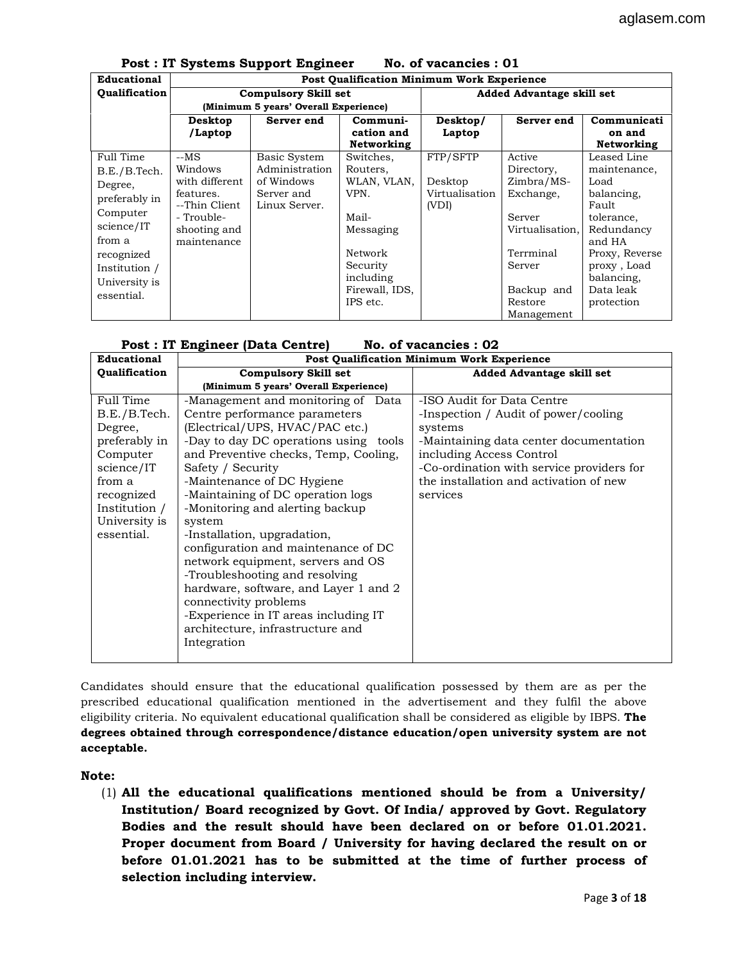|               | Fost . II systems support Engineer<br>NO. OI VACANCIES. OT |                                                   |                |                |                                  |                |  |
|---------------|------------------------------------------------------------|---------------------------------------------------|----------------|----------------|----------------------------------|----------------|--|
| Educational   |                                                            | <b>Post Qualification Minimum Work Experience</b> |                |                |                                  |                |  |
| Qualification | <b>Compulsory Skill set</b>                                |                                                   |                |                | <b>Added Advantage skill set</b> |                |  |
|               |                                                            | (Minimum 5 years' Overall Experience)             |                |                |                                  |                |  |
|               | Desktop                                                    | Server end                                        | Communi-       | Desktop/       | Server end                       | Communicati    |  |
|               | /Laptop                                                    |                                                   | cation and     | Laptop         |                                  | on and         |  |
|               |                                                            |                                                   | Networking     |                |                                  | Networking     |  |
| Full Time     | $-MS$                                                      | Basic System                                      | Switches,      | FTP/SFTP       | Active                           | Leased Line    |  |
| B.E./B.Tech.  | Windows                                                    | Administration                                    | Routers,       |                | Directory,                       | maintenance,   |  |
| Degree,       | with different                                             | of Windows                                        | WLAN, VLAN,    | Desktop        | $Zimbra/MS$ -                    | Load           |  |
| preferably in | features.                                                  | Server and                                        | VPN.           | Virtualisation | Exchange,                        | balancing,     |  |
| Computer      | --Thin Client                                              | Linux Server.                                     |                | (VDI)          |                                  | Fault          |  |
|               | - Trouble-                                                 |                                                   | Mail-          |                | Server                           | tolerance,     |  |
| science/IT    | shooting and                                               |                                                   | Messaging      |                | Virtualisation.                  | Redundancy     |  |
| from a        | maintenance                                                |                                                   |                |                |                                  | and HA         |  |
| recognized    |                                                            |                                                   | Network        |                | Terrminal                        | Proxy, Reverse |  |
| Institution / |                                                            |                                                   | Security       |                | Server                           | proxy, Load    |  |
| University is |                                                            |                                                   | including      |                |                                  | balancing,     |  |
| essential.    |                                                            |                                                   | Firewall, IDS, |                | Backup and                       | Data leak      |  |
|               |                                                            |                                                   | IPS etc.       |                | Restore                          | protection     |  |
|               |                                                            |                                                   |                |                | Management                       |                |  |

## Post : IT Systems Support Engineer No. of vacancies : 01

|  | Post : IT Engineer (Data Centre)<br>No. of vacancies : 02 |  |
|--|-----------------------------------------------------------|--|
|--|-----------------------------------------------------------|--|

| Educational                                                                                             | <b>Post Qualification Minimum Work Experience</b>                                                                                                                                                                                                                                                                   |                                                                                                                                                                                                                                                        |  |  |  |
|---------------------------------------------------------------------------------------------------------|---------------------------------------------------------------------------------------------------------------------------------------------------------------------------------------------------------------------------------------------------------------------------------------------------------------------|--------------------------------------------------------------------------------------------------------------------------------------------------------------------------------------------------------------------------------------------------------|--|--|--|
| Qualification                                                                                           | <b>Compulsory Skill set</b>                                                                                                                                                                                                                                                                                         | <b>Added Advantage skill set</b>                                                                                                                                                                                                                       |  |  |  |
|                                                                                                         | (Minimum 5 years' Overall Experience)                                                                                                                                                                                                                                                                               |                                                                                                                                                                                                                                                        |  |  |  |
| Full Time<br>B.E./B.Tech.<br>Degree,<br>preferably in<br>Computer<br>science/IT<br>from a<br>recognized | -Management and monitoring of Data<br>Centre performance parameters<br>(Electrical/UPS, HVAC/PAC etc.)<br>-Day to day DC operations using tools<br>and Preventive checks, Temp, Cooling,<br>Safety / Security<br>-Maintenance of DC Hygiene<br>-Maintaining of DC operation logs<br>-Monitoring and alerting backup | -ISO Audit for Data Centre<br>-Inspection / Audit of power/cooling<br>systems<br>-Maintaining data center documentation<br>including Access Control<br>-Co-ordination with service providers for<br>the installation and activation of new<br>services |  |  |  |
| Institution /<br>University is<br>essential.                                                            | system<br>-Installation, upgradation,<br>configuration and maintenance of DC<br>network equipment, servers and OS<br>-Troubleshooting and resolving<br>hardware, software, and Layer 1 and 2<br>connectivity problems<br>-Experience in IT areas including IT<br>architecture, infrastructure and<br>Integration    |                                                                                                                                                                                                                                                        |  |  |  |

Candidates should ensure that the educational qualification possessed by them are as per the prescribed educational qualification mentioned in the advertisement and they fulfil the above eligibility criteria. No equivalent educational qualification shall be considered as eligible by IBPS. **The** degrees obtained through correspondence/distance education/open university system are not acceptable.

#### Note:

(1) All the educational qualifications mentioned should be from a University/ Institution/ Board recognized by Govt. Of India/ approved by Govt. Regulatory Bodies and the result should have been declared on or before 01.01.2021. Proper document from Board / University for having declared the result on or before 01.01.2021 has to be submitted at the time of further process of selection including interview.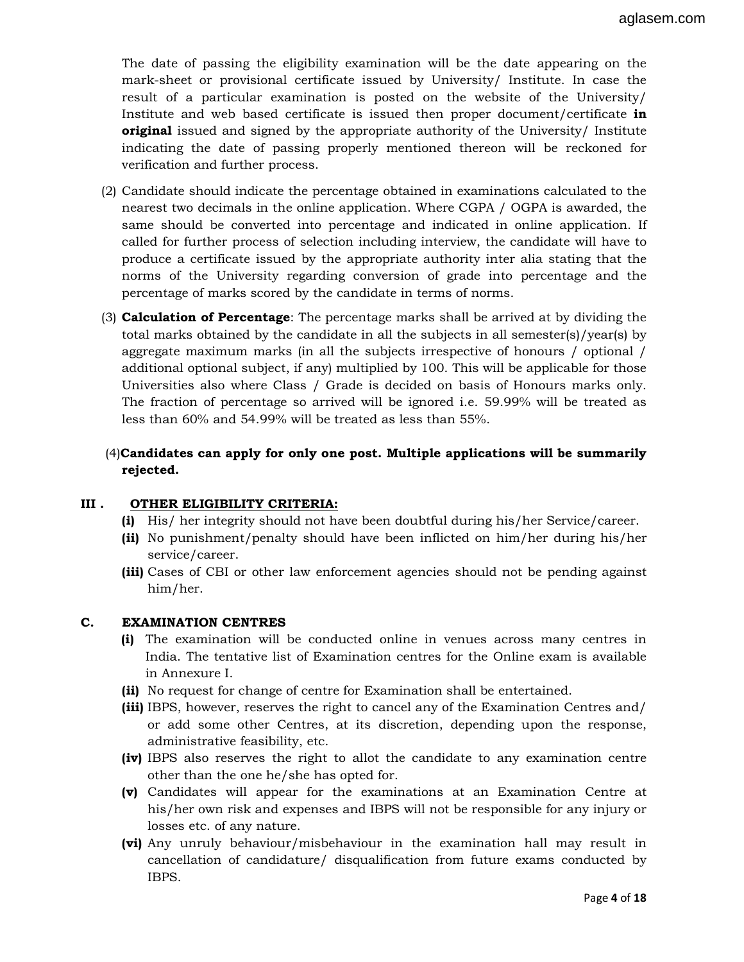The date of passing the eligibility examination will be the date appearing on the mark-sheet or provisional certificate issued by University/ Institute. In case the result of a particular examination is posted on the website of the University/ Institute and web based certificate is issued then proper document/certificate in **original** issued and signed by the appropriate authority of the University/ Institute indicating the date of passing properly mentioned thereon will be reckoned for verification and further process.

- (2) Candidate should indicate the percentage obtained in examinations calculated to the nearest two decimals in the online application. Where CGPA / OGPA is awarded, the same should be converted into percentage and indicated in online application. If called for further process of selection including interview, the candidate will have to produce a certificate issued by the appropriate authority inter alia stating that the norms of the University regarding conversion of grade into percentage and the percentage of marks scored by the candidate in terms of norms.
- (3) Calculation of Percentage: The percentage marks shall be arrived at by dividing the total marks obtained by the candidate in all the subjects in all semester(s)/year(s) by aggregate maximum marks (in all the subjects irrespective of honours / optional / additional optional subject, if any) multiplied by 100. This will be applicable for those Universities also where Class / Grade is decided on basis of Honours marks only. The fraction of percentage so arrived will be ignored i.e. 59.99% will be treated as less than 60% and 54.99% will be treated as less than 55%.

# (4)Candidates can apply for only one post. Multiple applications will be summarily rejected.

## III . OTHER ELIGIBILITY CRITERIA:

- (i) His/ her integrity should not have been doubtful during his/her Service/career.
- (ii) No punishment/penalty should have been inflicted on him/her during his/her service/career.
- (iii) Cases of CBI or other law enforcement agencies should not be pending against him/her.

## C. EXAMINATION CENTRES

- (i) The examination will be conducted online in venues across many centres in India. The tentative list of Examination centres for the Online exam is available in Annexure I.
- (ii) No request for change of centre for Examination shall be entertained.
- (iii) IBPS, however, reserves the right to cancel any of the Examination Centres and/ or add some other Centres, at its discretion, depending upon the response, administrative feasibility, etc.
- (iv) IBPS also reserves the right to allot the candidate to any examination centre other than the one he/she has opted for.
- (v) Candidates will appear for the examinations at an Examination Centre at his/her own risk and expenses and IBPS will not be responsible for any injury or losses etc. of any nature.
- (vi) Any unruly behaviour/misbehaviour in the examination hall may result in cancellation of candidature/ disqualification from future exams conducted by IBPS.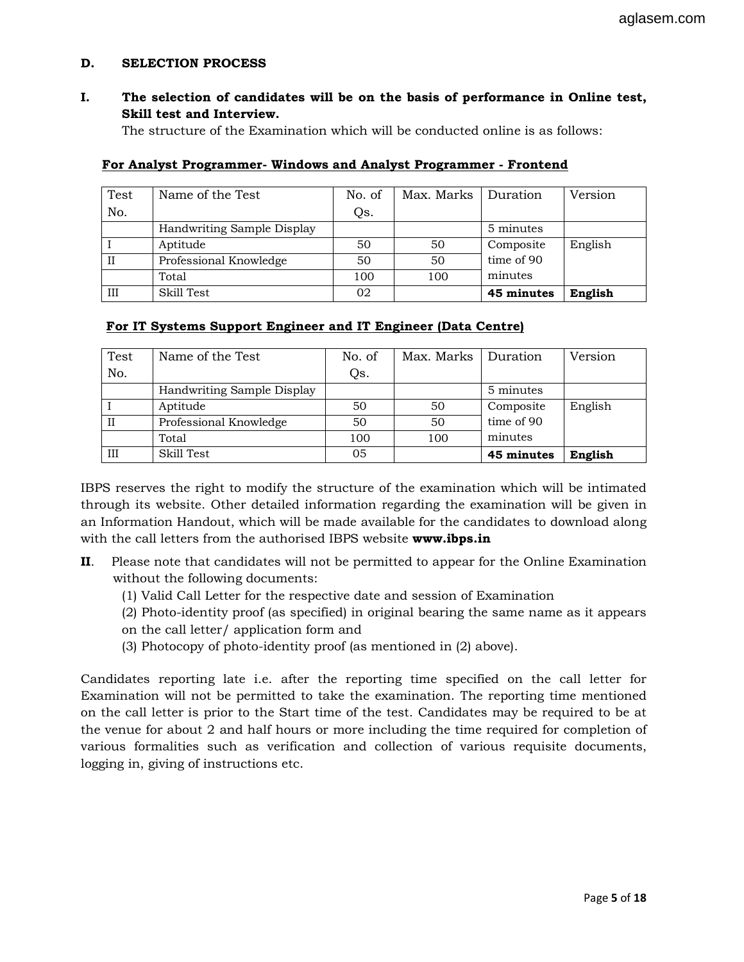## D. SELECTION PROCESS

I. The selection of candidates will be on the basis of performance in Online test, Skill test and Interview.

The structure of the Examination which will be conducted online is as follows:

| Test         | Name of the Test           | No. of | Max. Marks | Duration   | Version |
|--------------|----------------------------|--------|------------|------------|---------|
| No.          |                            | Qs.    |            |            |         |
|              | Handwriting Sample Display |        |            | 5 minutes  |         |
|              | Aptitude                   | 50     | 50         | Composite  | English |
| $\mathbf{I}$ | Professional Knowledge     | 50     | 50         | time of 90 |         |
|              | Total                      | 100    | 100        | minutes    |         |
| III          | Skill Test                 | 02     |            | 45 minutes | English |

#### For Analyst Programmer- Windows and Analyst Programmer - Frontend

# For IT Systems Support Engineer and IT Engineer (Data Centre)

| Test        | Name of the Test           | No. of | Max. Marks | Duration   | Version |
|-------------|----------------------------|--------|------------|------------|---------|
| No.         |                            | Qs.    |            |            |         |
|             | Handwriting Sample Display |        |            | 5 minutes  |         |
|             | Aptitude                   | 50     | 50         | Composite  | English |
| $_{\rm II}$ | Professional Knowledge     | 50     | 50         | time of 90 |         |
|             | Total                      | 100    | 100        | minutes    |         |
| III         | Skill Test                 | 05     |            | 45 minutes | English |

IBPS reserves the right to modify the structure of the examination which will be intimated through its website. Other detailed information regarding the examination will be given in an Information Handout, which will be made available for the candidates to download along with the call letters from the authorised IBPS website www.ibps.in

- II. Please note that candidates will not be permitted to appear for the Online Examination without the following documents:
	- (1) Valid Call Letter for the respective date and session of Examination
	- (2) Photo-identity proof (as specified) in original bearing the same name as it appears on the call letter/ application form and
	- (3) Photocopy of photo-identity proof (as mentioned in (2) above).

Candidates reporting late i.e. after the reporting time specified on the call letter for Examination will not be permitted to take the examination. The reporting time mentioned on the call letter is prior to the Start time of the test. Candidates may be required to be at the venue for about 2 and half hours or more including the time required for completion of various formalities such as verification and collection of various requisite documents, logging in, giving of instructions etc.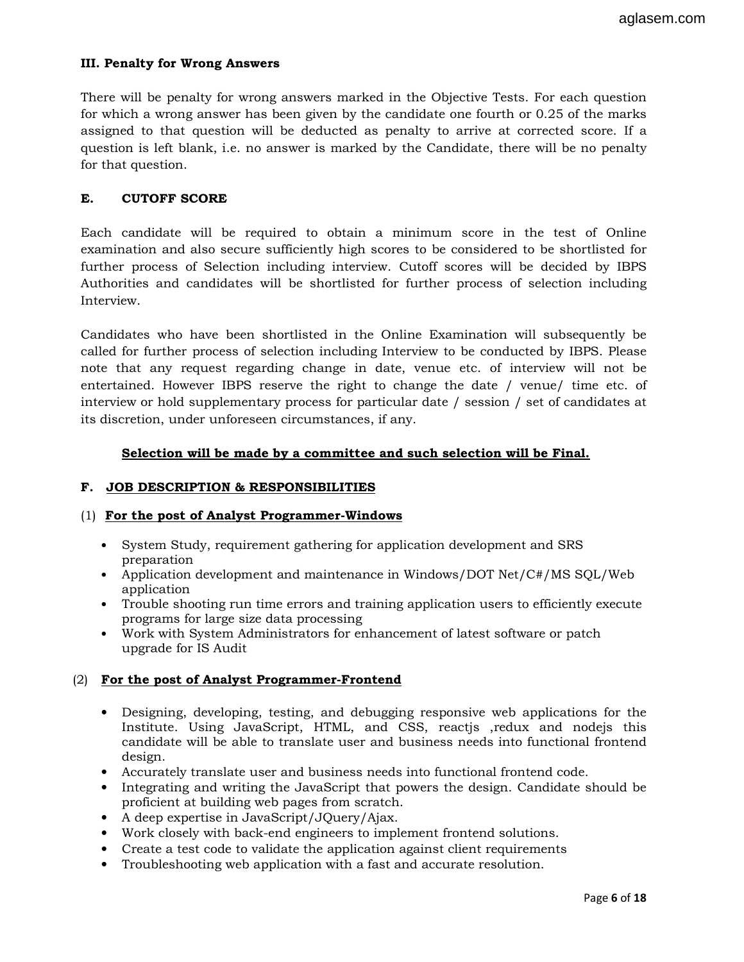# III. Penalty for Wrong Answers

There will be penalty for wrong answers marked in the Objective Tests. For each question for which a wrong answer has been given by the candidate one fourth or 0.25 of the marks assigned to that question will be deducted as penalty to arrive at corrected score. If a question is left blank, i.e. no answer is marked by the Candidate, there will be no penalty for that question.

## E. CUTOFF SCORE

Each candidate will be required to obtain a minimum score in the test of Online examination and also secure sufficiently high scores to be considered to be shortlisted for further process of Selection including interview. Cutoff scores will be decided by IBPS Authorities and candidates will be shortlisted for further process of selection including Interview.

Candidates who have been shortlisted in the Online Examination will subsequently be called for further process of selection including Interview to be conducted by IBPS. Please note that any request regarding change in date, venue etc. of interview will not be entertained. However IBPS reserve the right to change the date / venue/ time etc. of interview or hold supplementary process for particular date / session / set of candidates at its discretion, under unforeseen circumstances, if any.

## Selection will be made by a committee and such selection will be Final.

## F. JOB DESCRIPTION & RESPONSIBILITIES

#### (1) For the post of Analyst Programmer-Windows

- System Study, requirement gathering for application development and SRS preparation
- Application development and maintenance in Windows/DOT Net/C#/MS SQL/Web application
- Trouble shooting run time errors and training application users to efficiently execute programs for large size data processing
- Work with System Administrators for enhancement of latest software or patch upgrade for IS Audit

## (2) For the post of Analyst Programmer-Frontend

- Designing, developing, testing, and debugging responsive web applications for the Institute. Using JavaScript, HTML, and CSS, reactjs ,redux and nodejs this candidate will be able to translate user and business needs into functional frontend design.
- Accurately translate user and business needs into functional frontend code.
- Integrating and writing the JavaScript that powers the design. Candidate should be proficient at building web pages from scratch.
- A deep expertise in JavaScript/JQuery/Ajax.
- Work closely with back-end engineers to implement frontend solutions.
- Create a test code to validate the application against client requirements
- Troubleshooting web application with a fast and accurate resolution.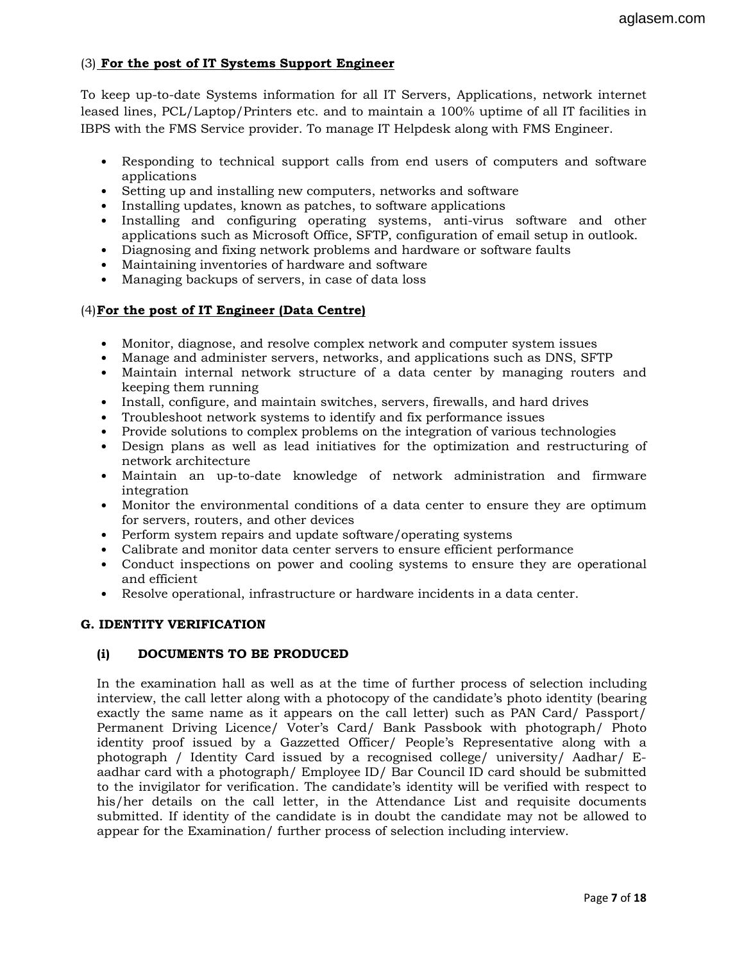# (3) For the post of IT Systems Support Engineer

To keep up-to-date Systems information for all IT Servers, Applications, network internet leased lines, PCL/Laptop/Printers etc. and to maintain a 100% uptime of all IT facilities in IBPS with the FMS Service provider. To manage IT Helpdesk along with FMS Engineer.

- Responding to technical support calls from end users of computers and software applications
- Setting up and installing new computers, networks and software
- Installing updates, known as patches, to software applications
- Installing and configuring operating systems, anti-virus software and other applications such as Microsoft Office, SFTP, configuration of email setup in outlook.
- Diagnosing and fixing network problems and hardware or software faults
- Maintaining inventories of hardware and software
- Managing backups of servers, in case of data loss

## (4)For the post of IT Engineer (Data Centre)

- Monitor, diagnose, and resolve complex network and computer system issues
- Manage and administer servers, networks, and applications such as DNS, SFTP
- Maintain internal network structure of a data center by managing routers and keeping them running
- Install, configure, and maintain switches, servers, firewalls, and hard drives
- Troubleshoot network systems to identify and fix performance issues
- Provide solutions to complex problems on the integration of various technologies
- Design plans as well as lead initiatives for the optimization and restructuring of network architecture
- Maintain an up-to-date knowledge of network administration and firmware integration
- Monitor the environmental conditions of a data center to ensure they are optimum for servers, routers, and other devices
- Perform system repairs and update software/operating systems
- Calibrate and monitor data center servers to ensure efficient performance
- Conduct inspections on power and cooling systems to ensure they are operational and efficient
- Resolve operational, infrastructure or hardware incidents in a data center.

#### G. IDENTITY VERIFICATION

#### (i) DOCUMENTS TO BE PRODUCED

In the examination hall as well as at the time of further process of selection including interview, the call letter along with a photocopy of the candidate's photo identity (bearing exactly the same name as it appears on the call letter) such as PAN Card/ Passport/ Permanent Driving Licence/ Voter's Card/ Bank Passbook with photograph/ Photo identity proof issued by a Gazzetted Officer/ People's Representative along with a photograph / Identity Card issued by a recognised college/ university/ Aadhar/ Eaadhar card with a photograph/ Employee ID/ Bar Council ID card should be submitted to the invigilator for verification. The candidate's identity will be verified with respect to his/her details on the call letter, in the Attendance List and requisite documents submitted. If identity of the candidate is in doubt the candidate may not be allowed to appear for the Examination/ further process of selection including interview.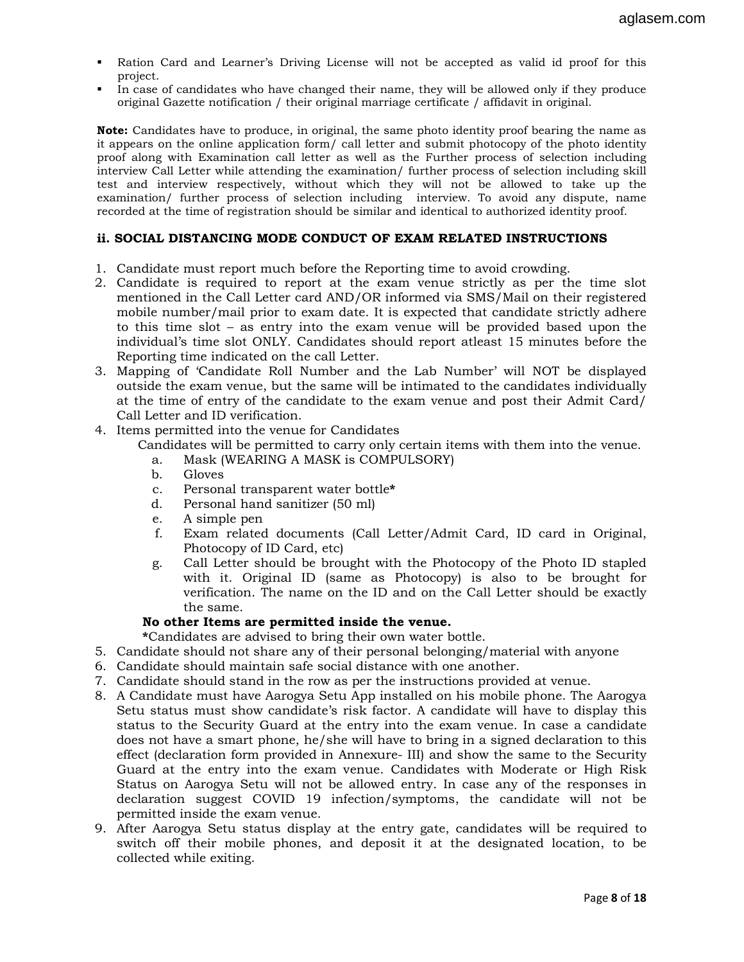- Ration Card and Learner's Driving License will not be accepted as valid id proof for this project.
- In case of candidates who have changed their name, they will be allowed only if they produce original Gazette notification / their original marriage certificate / affidavit in original.

**Note:** Candidates have to produce, in original, the same photo identity proof bearing the name as it appears on the online application form/ call letter and submit photocopy of the photo identity proof along with Examination call letter as well as the Further process of selection including interview Call Letter while attending the examination/ further process of selection including skill test and interview respectively, without which they will not be allowed to take up the examination/ further process of selection including interview. To avoid any dispute, name recorded at the time of registration should be similar and identical to authorized identity proof.

#### ii. SOCIAL DISTANCING MODE CONDUCT OF EXAM RELATED INSTRUCTIONS

- 1. Candidate must report much before the Reporting time to avoid crowding.
- 2. Candidate is required to report at the exam venue strictly as per the time slot mentioned in the Call Letter card AND/OR informed via SMS/Mail on their registered mobile number/mail prior to exam date. It is expected that candidate strictly adhere to this time slot – as entry into the exam venue will be provided based upon the individual's time slot ONLY. Candidates should report atleast 15 minutes before the Reporting time indicated on the call Letter.
- 3. Mapping of 'Candidate Roll Number and the Lab Number' will NOT be displayed outside the exam venue, but the same will be intimated to the candidates individually at the time of entry of the candidate to the exam venue and post their Admit Card/ Call Letter and ID verification.
- 4. Items permitted into the venue for Candidates

Candidates will be permitted to carry only certain items with them into the venue.

- a. Mask (WEARING A MASK is COMPULSORY)
- b. Gloves
- c. Personal transparent water bottle\*
- d. Personal hand sanitizer (50 ml)
- e. A simple pen
- f. Exam related documents (Call Letter/Admit Card, ID card in Original, Photocopy of ID Card, etc)
- g. Call Letter should be brought with the Photocopy of the Photo ID stapled with it. Original ID (same as Photocopy) is also to be brought for verification. The name on the ID and on the Call Letter should be exactly the same.

#### No other Items are permitted inside the venue.

\*Candidates are advised to bring their own water bottle.

- 5. Candidate should not share any of their personal belonging/material with anyone
- 6. Candidate should maintain safe social distance with one another.
- 7. Candidate should stand in the row as per the instructions provided at venue.
- 8. A Candidate must have Aarogya Setu App installed on his mobile phone. The Aarogya Setu status must show candidate's risk factor. A candidate will have to display this status to the Security Guard at the entry into the exam venue. In case a candidate does not have a smart phone, he/she will have to bring in a signed declaration to this effect (declaration form provided in Annexure- III) and show the same to the Security Guard at the entry into the exam venue. Candidates with Moderate or High Risk Status on Aarogya Setu will not be allowed entry. In case any of the responses in declaration suggest COVID 19 infection/symptoms, the candidate will not be permitted inside the exam venue.
- 9. After Aarogya Setu status display at the entry gate, candidates will be required to switch off their mobile phones, and deposit it at the designated location, to be collected while exiting.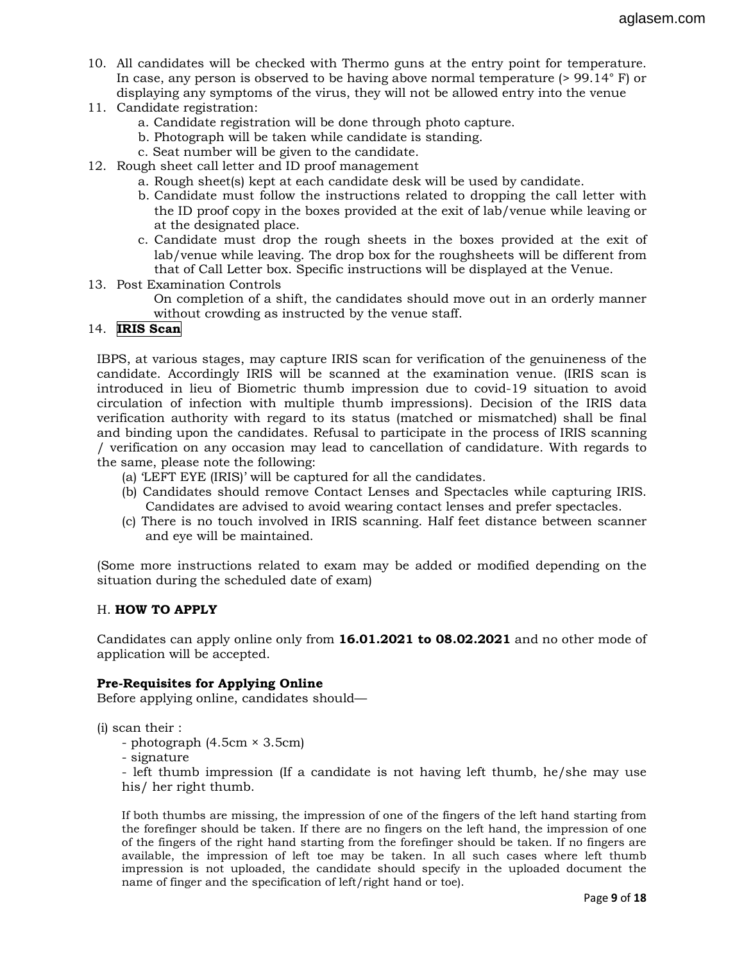- 10. All candidates will be checked with Thermo guns at the entry point for temperature. In case, any person is observed to be having above normal temperature  $(> 99.14^{\circ} \text{ F})$  or displaying any symptoms of the virus, they will not be allowed entry into the venue
- 11. Candidate registration:
	- a. Candidate registration will be done through photo capture.
	- b. Photograph will be taken while candidate is standing.
	- c. Seat number will be given to the candidate.
- 12. Rough sheet call letter and ID proof management
	- a. Rough sheet(s) kept at each candidate desk will be used by candidate.
	- b. Candidate must follow the instructions related to dropping the call letter with the ID proof copy in the boxes provided at the exit of lab/venue while leaving or at the designated place.
	- c. Candidate must drop the rough sheets in the boxes provided at the exit of lab/venue while leaving. The drop box for the roughsheets will be different from that of Call Letter box. Specific instructions will be displayed at the Venue.
- 13. Post Examination Controls
	- On completion of a shift, the candidates should move out in an orderly manner without crowding as instructed by the venue staff.

# 14. IRIS Scan

IBPS, at various stages, may capture IRIS scan for verification of the genuineness of the candidate. Accordingly IRIS will be scanned at the examination venue. (IRIS scan is introduced in lieu of Biometric thumb impression due to covid-19 situation to avoid circulation of infection with multiple thumb impressions). Decision of the IRIS data verification authority with regard to its status (matched or mismatched) shall be final and binding upon the candidates. Refusal to participate in the process of IRIS scanning / verification on any occasion may lead to cancellation of candidature. With regards to the same, please note the following:

- (a) 'LEFT EYE (IRIS)' will be captured for all the candidates.
- (b) Candidates should remove Contact Lenses and Spectacles while capturing IRIS. Candidates are advised to avoid wearing contact lenses and prefer spectacles.
- (c) There is no touch involved in IRIS scanning. Half feet distance between scanner and eye will be maintained.

(Some more instructions related to exam may be added or modified depending on the situation during the scheduled date of exam)

## H. **HOW TO APPLY**

Candidates can apply online only from 16.01.2021 to 08.02.2021 and no other mode of application will be accepted.

## Pre-Requisites for Applying Online

Before applying online, candidates should—

(i) scan their :

- photograph (4.5cm × 3.5cm)
- signature

- left thumb impression (If a candidate is not having left thumb, he/she may use his/ her right thumb.

If both thumbs are missing, the impression of one of the fingers of the left hand starting from the forefinger should be taken. If there are no fingers on the left hand, the impression of one of the fingers of the right hand starting from the forefinger should be taken. If no fingers are available, the impression of left toe may be taken. In all such cases where left thumb impression is not uploaded, the candidate should specify in the uploaded document the name of finger and the specification of left/right hand or toe).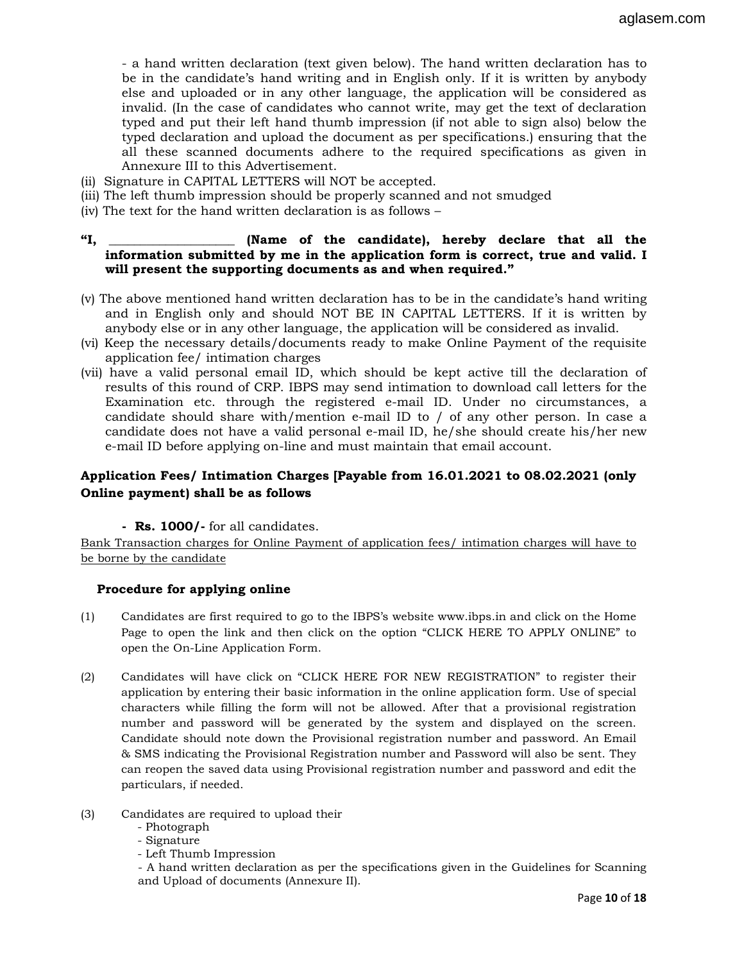- a hand written declaration (text given below). The hand written declaration has to be in the candidate's hand writing and in English only. If it is written by anybody else and uploaded or in any other language, the application will be considered as invalid. (In the case of candidates who cannot write, may get the text of declaration typed and put their left hand thumb impression (if not able to sign also) below the typed declaration and upload the document as per specifications.) ensuring that the all these scanned documents adhere to the required specifications as given in Annexure III to this Advertisement.

- (ii) Signature in CAPITAL LETTERS will NOT be accepted.
- (iii) The left thumb impression should be properly scanned and not smudged
- (iv) The text for the hand written declaration is as follows –

#### "I, \_\_\_\_\_\_\_\_\_\_\_\_\_\_\_\_\_\_\_\_ (Name of the candidate), hereby declare that all the information submitted by me in the application form is correct, true and valid. I will present the supporting documents as and when required."

- (v) The above mentioned hand written declaration has to be in the candidate's hand writing and in English only and should NOT BE IN CAPITAL LETTERS. If it is written by anybody else or in any other language, the application will be considered as invalid.
- (vi) Keep the necessary details/documents ready to make Online Payment of the requisite application fee/ intimation charges
- (vii) have a valid personal email ID, which should be kept active till the declaration of results of this round of CRP. IBPS may send intimation to download call letters for the Examination etc. through the registered e-mail ID. Under no circumstances, a candidate should share with/mention e-mail ID to / of any other person. In case a candidate does not have a valid personal e-mail ID, he/she should create his/her new e-mail ID before applying on-line and must maintain that email account.

# Application Fees/ Intimation Charges [Payable from 16.01.2021 to 08.02.2021 (only Online payment) shall be as follows

- Rs. 1000/- for all candidates.

Bank Transaction charges for Online Payment of application fees/ intimation charges will have to be borne by the candidate

#### Procedure for applying online

- (1) Candidates are first required to go to the IBPS's website www.ibps.in and click on the Home Page to open the link and then click on the option "CLICK HERE TO APPLY ONLINE" to open the On-Line Application Form.
- (2) Candidates will have click on "CLICK HERE FOR NEW REGISTRATION" to register their application by entering their basic information in the online application form. Use of special characters while filling the form will not be allowed. After that a provisional registration number and password will be generated by the system and displayed on the screen. Candidate should note down the Provisional registration number and password. An Email & SMS indicating the Provisional Registration number and Password will also be sent. They can reopen the saved data using Provisional registration number and password and edit the particulars, if needed.
- (3) Candidates are required to upload their
	- Photograph
	- Signature
	- Left Thumb Impression

- A hand written declaration as per the specifications given in the Guidelines for Scanning and Upload of documents (Annexure II).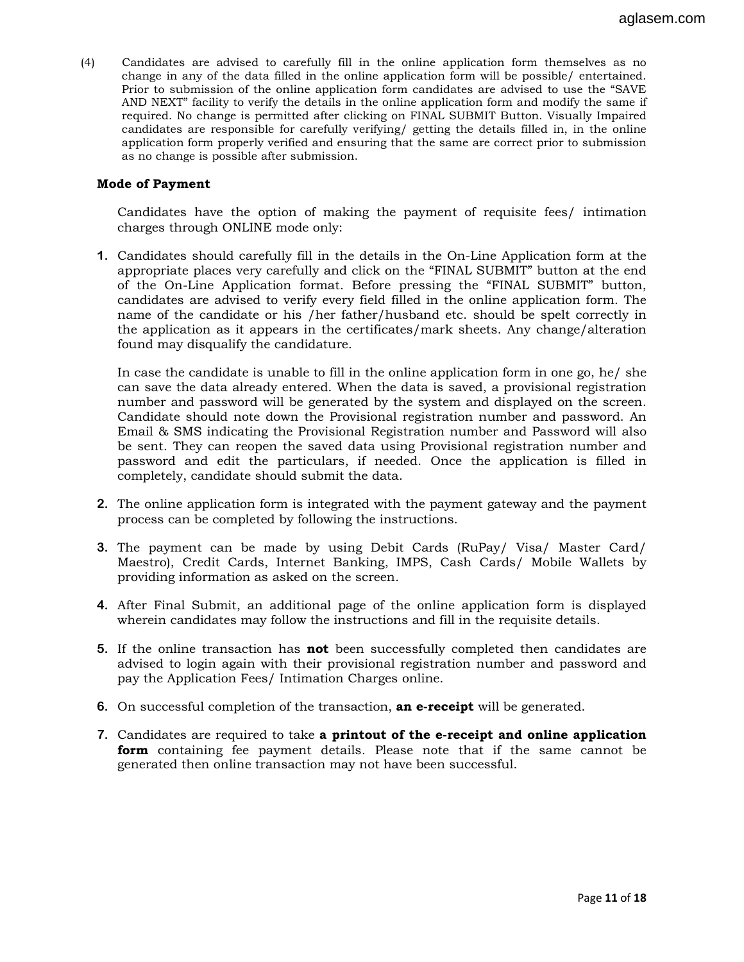(4) Candidates are advised to carefully fill in the online application form themselves as no change in any of the data filled in the online application form will be possible/ entertained. Prior to submission of the online application form candidates are advised to use the "SAVE AND NEXT" facility to verify the details in the online application form and modify the same if required. No change is permitted after clicking on FINAL SUBMIT Button. Visually Impaired candidates are responsible for carefully verifying/ getting the details filled in, in the online application form properly verified and ensuring that the same are correct prior to submission as no change is possible after submission.

#### Mode of Payment

Candidates have the option of making the payment of requisite fees/ intimation charges through ONLINE mode only:

1. Candidates should carefully fill in the details in the On-Line Application form at the appropriate places very carefully and click on the "FINAL SUBMIT" button at the end of the On-Line Application format. Before pressing the "FINAL SUBMIT" button, candidates are advised to verify every field filled in the online application form. The name of the candidate or his /her father/husband etc. should be spelt correctly in the application as it appears in the certificates/mark sheets. Any change/alteration found may disqualify the candidature.

In case the candidate is unable to fill in the online application form in one go, he/ she can save the data already entered. When the data is saved, a provisional registration number and password will be generated by the system and displayed on the screen. Candidate should note down the Provisional registration number and password. An Email & SMS indicating the Provisional Registration number and Password will also be sent. They can reopen the saved data using Provisional registration number and password and edit the particulars, if needed. Once the application is filled in completely, candidate should submit the data.

- 2. The online application form is integrated with the payment gateway and the payment process can be completed by following the instructions.
- 3. The payment can be made by using Debit Cards (RuPay/ Visa/ Master Card/ Maestro), Credit Cards, Internet Banking, IMPS, Cash Cards/ Mobile Wallets by providing information as asked on the screen.
- 4. After Final Submit, an additional page of the online application form is displayed wherein candidates may follow the instructions and fill in the requisite details.
- 5. If the online transaction has **not** been successfully completed then candidates are advised to login again with their provisional registration number and password and pay the Application Fees/ Intimation Charges online.
- 6. On successful completion of the transaction, **an e-receipt** will be generated.
- 7. Candidates are required to take a printout of the e-receipt and online application form containing fee payment details. Please note that if the same cannot be generated then online transaction may not have been successful.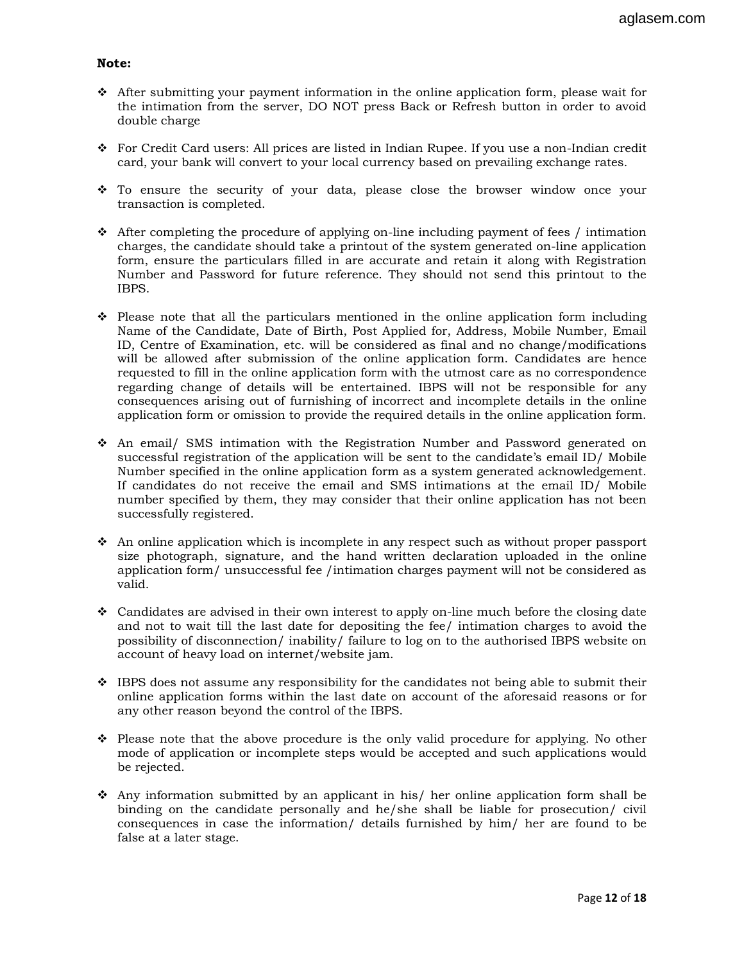#### Note:

- After submitting your payment information in the online application form, please wait for the intimation from the server, DO NOT press Back or Refresh button in order to avoid double charge
- For Credit Card users: All prices are listed in Indian Rupee. If you use a non-Indian credit card, your bank will convert to your local currency based on prevailing exchange rates.
- \* To ensure the security of your data, please close the browser window once your transaction is completed.
- After completing the procedure of applying on-line including payment of fees / intimation charges, the candidate should take a printout of the system generated on-line application form, ensure the particulars filled in are accurate and retain it along with Registration Number and Password for future reference. They should not send this printout to the IBPS.
- Please note that all the particulars mentioned in the online application form including Name of the Candidate, Date of Birth, Post Applied for, Address, Mobile Number, Email ID, Centre of Examination, etc. will be considered as final and no change/modifications will be allowed after submission of the online application form. Candidates are hence requested to fill in the online application form with the utmost care as no correspondence regarding change of details will be entertained. IBPS will not be responsible for any consequences arising out of furnishing of incorrect and incomplete details in the online application form or omission to provide the required details in the online application form.
- An email/ SMS intimation with the Registration Number and Password generated on successful registration of the application will be sent to the candidate's email ID/ Mobile Number specified in the online application form as a system generated acknowledgement. If candidates do not receive the email and SMS intimations at the email ID/ Mobile number specified by them, they may consider that their online application has not been successfully registered.
- \* An online application which is incomplete in any respect such as without proper passport size photograph, signature, and the hand written declaration uploaded in the online application form/ unsuccessful fee /intimation charges payment will not be considered as valid.
- Candidates are advised in their own interest to apply on-line much before the closing date and not to wait till the last date for depositing the fee/ intimation charges to avoid the possibility of disconnection/ inability/ failure to log on to the authorised IBPS website on account of heavy load on internet/website jam.
- IBPS does not assume any responsibility for the candidates not being able to submit their online application forms within the last date on account of the aforesaid reasons or for any other reason beyond the control of the IBPS.
- Please note that the above procedure is the only valid procedure for applying. No other mode of application or incomplete steps would be accepted and such applications would be rejected.
- Any information submitted by an applicant in his/ her online application form shall be binding on the candidate personally and he/she shall be liable for prosecution/ civil consequences in case the information/ details furnished by him/ her are found to be false at a later stage.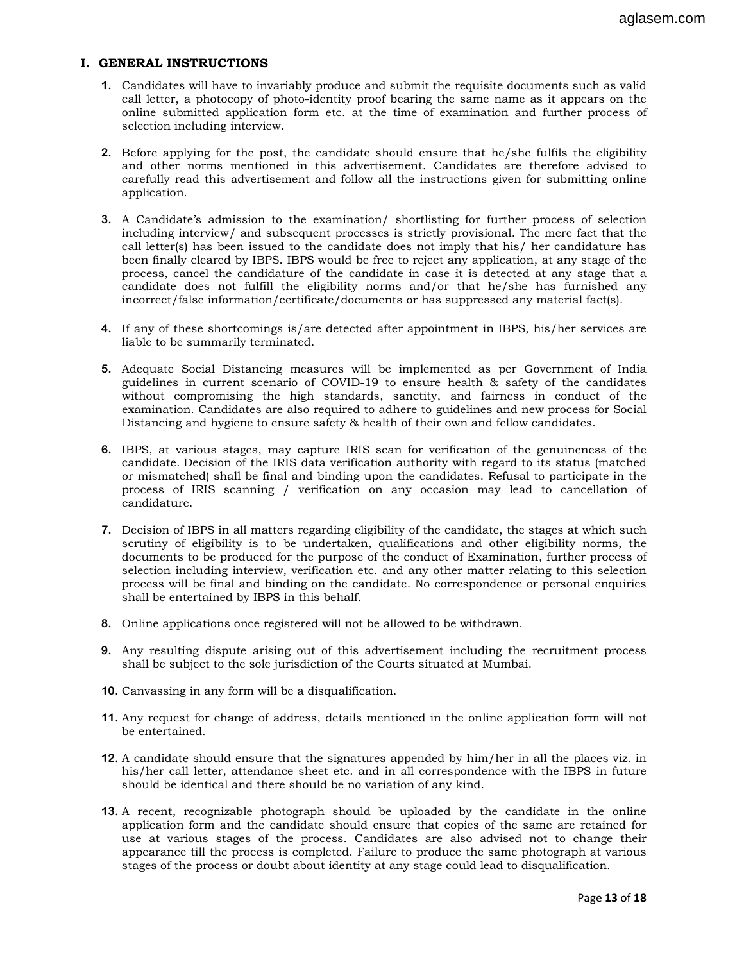#### I. GENERAL INSTRUCTIONS

- 1. Candidates will have to invariably produce and submit the requisite documents such as valid call letter, a photocopy of photo-identity proof bearing the same name as it appears on the online submitted application form etc. at the time of examination and further process of selection including interview.
- 2. Before applying for the post, the candidate should ensure that  $he/she$  fulfils the eligibility and other norms mentioned in this advertisement. Candidates are therefore advised to carefully read this advertisement and follow all the instructions given for submitting online application.
- 3. A Candidate's admission to the examination/ shortlisting for further process of selection including interview/ and subsequent processes is strictly provisional. The mere fact that the call letter(s) has been issued to the candidate does not imply that his/ her candidature has been finally cleared by IBPS. IBPS would be free to reject any application, at any stage of the process, cancel the candidature of the candidate in case it is detected at any stage that a candidate does not fulfill the eligibility norms and/or that he/she has furnished any incorrect/false information/certificate/documents or has suppressed any material fact(s).
- 4. If any of these shortcomings is/are detected after appointment in IBPS, his/her services are liable to be summarily terminated.
- 5. Adequate Social Distancing measures will be implemented as per Government of India guidelines in current scenario of COVID-19 to ensure health & safety of the candidates without compromising the high standards, sanctity, and fairness in conduct of the examination. Candidates are also required to adhere to guidelines and new process for Social Distancing and hygiene to ensure safety & health of their own and fellow candidates.
- 6. IBPS, at various stages, may capture IRIS scan for verification of the genuineness of the candidate. Decision of the IRIS data verification authority with regard to its status (matched or mismatched) shall be final and binding upon the candidates. Refusal to participate in the process of IRIS scanning / verification on any occasion may lead to cancellation of candidature.
- 7. Decision of IBPS in all matters regarding eligibility of the candidate, the stages at which such scrutiny of eligibility is to be undertaken, qualifications and other eligibility norms, the documents to be produced for the purpose of the conduct of Examination, further process of selection including interview, verification etc. and any other matter relating to this selection process will be final and binding on the candidate. No correspondence or personal enquiries shall be entertained by IBPS in this behalf.
- 8. Online applications once registered will not be allowed to be withdrawn.
- 9. Any resulting dispute arising out of this advertisement including the recruitment process shall be subject to the sole jurisdiction of the Courts situated at Mumbai.
- 10. Canvassing in any form will be a disqualification.
- 11. Any request for change of address, details mentioned in the online application form will not be entertained.
- 12. A candidate should ensure that the signatures appended by him/her in all the places viz. in his/her call letter, attendance sheet etc. and in all correspondence with the IBPS in future should be identical and there should be no variation of any kind.
- 13. A recent, recognizable photograph should be uploaded by the candidate in the online application form and the candidate should ensure that copies of the same are retained for use at various stages of the process. Candidates are also advised not to change their appearance till the process is completed. Failure to produce the same photograph at various stages of the process or doubt about identity at any stage could lead to disqualification.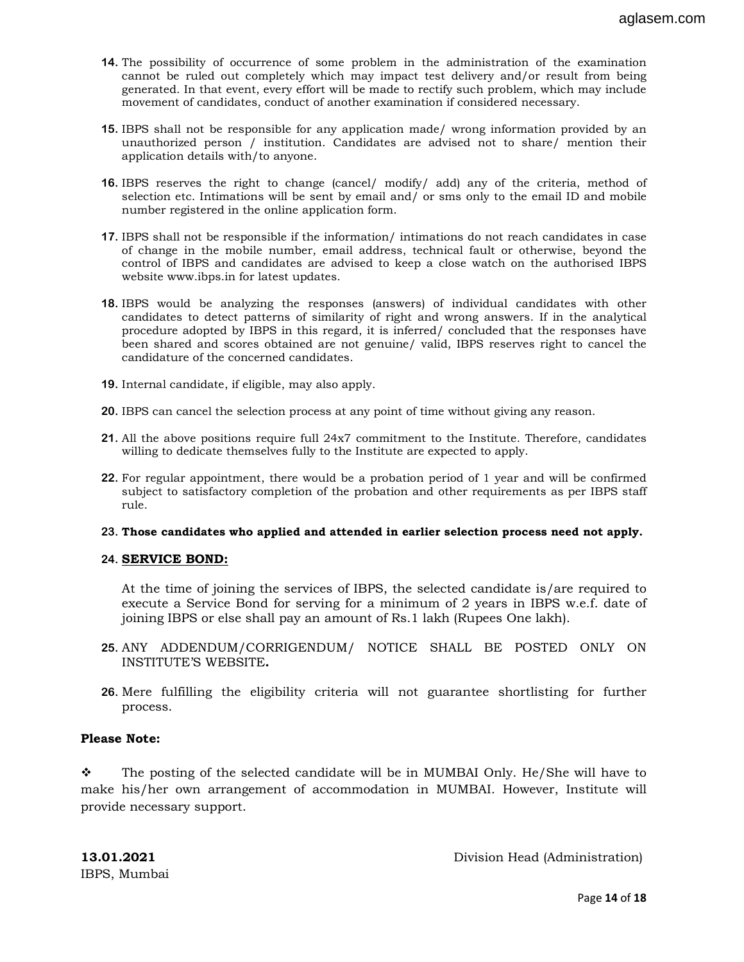- 14. The possibility of occurrence of some problem in the administration of the examination cannot be ruled out completely which may impact test delivery and/or result from being generated. In that event, every effort will be made to rectify such problem, which may include movement of candidates, conduct of another examination if considered necessary.
- 15. IBPS shall not be responsible for any application made/ wrong information provided by an unauthorized person / institution. Candidates are advised not to share/ mention their application details with/to anyone.
- 16. IBPS reserves the right to change (cancel/ modify/ add) any of the criteria, method of selection etc. Intimations will be sent by email and/ or sms only to the email ID and mobile number registered in the online application form.
- 17. IBPS shall not be responsible if the information/ intimations do not reach candidates in case of change in the mobile number, email address, technical fault or otherwise, beyond the control of IBPS and candidates are advised to keep a close watch on the authorised IBPS website www.ibps.in for latest updates.
- 18. IBPS would be analyzing the responses (answers) of individual candidates with other candidates to detect patterns of similarity of right and wrong answers. If in the analytical procedure adopted by IBPS in this regard, it is inferred/ concluded that the responses have been shared and scores obtained are not genuine/ valid, IBPS reserves right to cancel the candidature of the concerned candidates.
- 19. Internal candidate, if eligible, may also apply.
- 20. IBPS can cancel the selection process at any point of time without giving any reason.
- 21. All the above positions require full 24x7 commitment to the Institute. Therefore, candidates willing to dedicate themselves fully to the Institute are expected to apply.
- 22. For regular appointment, there would be a probation period of 1 year and will be confirmed subject to satisfactory completion of the probation and other requirements as per IBPS staff rule.

#### 23. Those candidates who applied and attended in earlier selection process need not apply.

#### 24. SERVICE BOND:

At the time of joining the services of IBPS, the selected candidate is/are required to execute a Service Bond for serving for a minimum of 2 years in IBPS w.e.f. date of joining IBPS or else shall pay an amount of Rs.1 lakh (Rupees One lakh).

- 25. ANY ADDENDUM/CORRIGENDUM/ NOTICE SHALL BE POSTED ONLY ON INSTITUTE'S WEBSITE.
- 26. Mere fulfilling the eligibility criteria will not guarantee shortlisting for further process.

## Please Note:

 $\ddot{\cdot}$  The posting of the selected candidate will be in MUMBAI Only. He/She will have to make his/her own arrangement of accommodation in MUMBAI. However, Institute will provide necessary support.

13.01.2021 Division Head (Administration)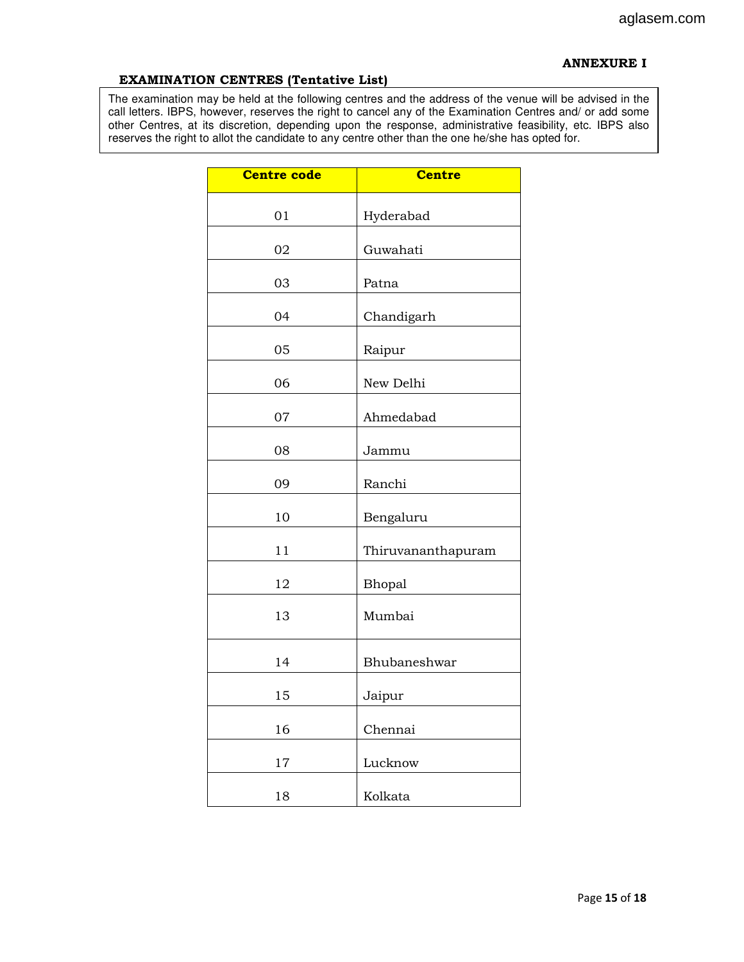#### ANNEXURE I

#### EXAMINATION CENTRES (Tentative List)

The examination may be held at the following centres and the address of the venue will be advised in the call letters. IBPS, however, reserves the right to cancel any of the Examination Centres and/ or add some other Centres, at its discretion, depending upon the response, administrative feasibility, etc. IBPS also reserves the right to allot the candidate to any centre other than the one he/she has opted for.

| <b>Centre code</b> | <b>Centre</b>      |
|--------------------|--------------------|
| 01                 | Hyderabad          |
| 02                 | Guwahati           |
| 03                 | Patna              |
| 04                 | Chandigarh         |
| 05                 | Raipur             |
| 06                 | New Delhi          |
| 07                 | Ahmedabad          |
| 08                 | Jammu              |
| 09                 | Ranchi             |
| 10                 | Bengaluru          |
| 11                 | Thiruvananthapuram |
| 12                 | Bhopal             |
| 13                 | Mumbai             |
| 14                 | Bhubaneshwar       |
| 15                 | Jaipur             |
| 16                 | Chennai            |
| 17                 | Lucknow            |
| 18                 | Kolkata            |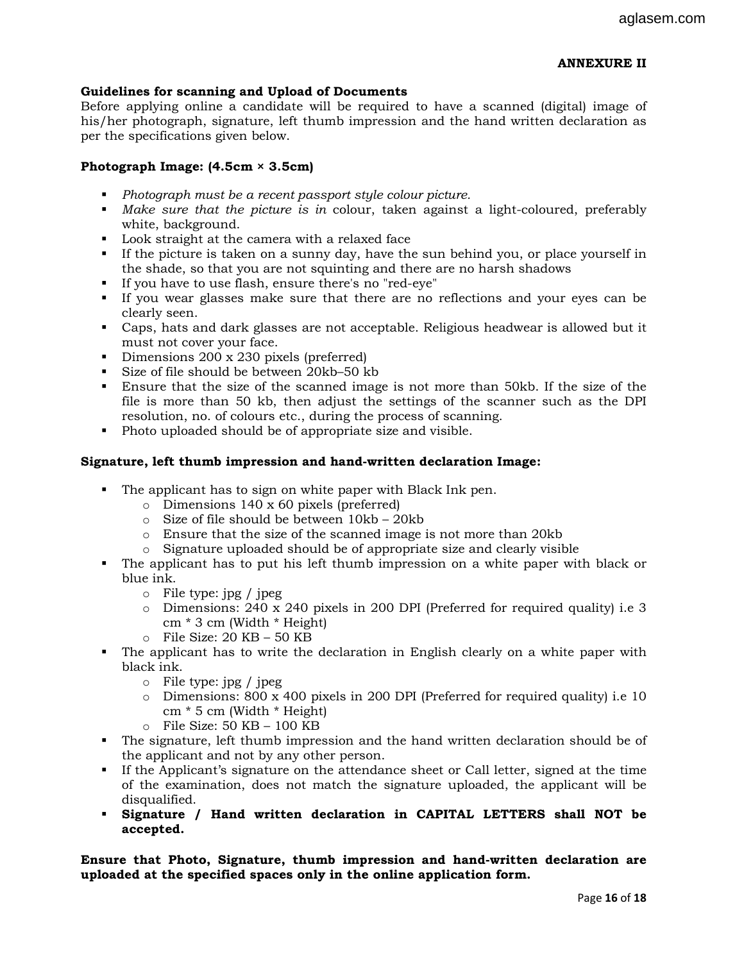# ANNEXURE II

## Guidelines for scanning and Upload of Documents

Before applying online a candidate will be required to have a scanned (digital) image of his/her photograph, signature, left thumb impression and the hand written declaration as per the specifications given below.

#### Photograph Image: (4.5cm × 3.5cm)

- Photograph must be a recent passport style colour picture.
- Make sure that the picture is in colour, taken against a light-coloured, preferably white, background.
- **Look straight at the camera with a relaxed face**
- If the picture is taken on a sunny day, have the sun behind you, or place yourself in the shade, so that you are not squinting and there are no harsh shadows
- If you have to use flash, ensure there's no "red-eye"
- If you wear glasses make sure that there are no reflections and your eyes can be clearly seen.
- Caps, hats and dark glasses are not acceptable. Religious headwear is allowed but it must not cover your face.
- Dimensions 200 x 230 pixels (preferred)
- Size of file should be between 20kb–50 kb
- Ensure that the size of the scanned image is not more than 50kb. If the size of the file is more than 50 kb, then adjust the settings of the scanner such as the DPI resolution, no. of colours etc., during the process of scanning.
- Photo uploaded should be of appropriate size and visible.

#### Signature, left thumb impression and hand-written declaration Image:

- The applicant has to sign on white paper with Black Ink pen.
	- o Dimensions 140 x 60 pixels (preferred)
	- o Size of file should be between 10kb 20kb
	- o Ensure that the size of the scanned image is not more than 20kb
	- o Signature uploaded should be of appropriate size and clearly visible
- The applicant has to put his left thumb impression on a white paper with black or blue ink.
	- o File type: jpg / jpeg
	- o Dimensions: 240 x 240 pixels in 200 DPI (Preferred for required quality) i.e 3 cm \* 3 cm (Width \* Height)
	- $\circ$  File Size: 20 KB 50 KB
- The applicant has to write the declaration in English clearly on a white paper with black ink.
	- o File type: jpg / jpeg
	- $\circ$  Dimensions: 800 x 400 pixels in 200 DPI (Preferred for required quality) i.e 10 cm \* 5 cm (Width \* Height)
	- $\circ$  File Size: 50 KB 100 KB
- The signature, left thumb impression and the hand written declaration should be of the applicant and not by any other person.
- If the Applicant's signature on the attendance sheet or Call letter, signed at the time of the examination, does not match the signature uploaded, the applicant will be disqualified.
- Signature / Hand written declaration in CAPITAL LETTERS shall NOT be accepted.

Ensure that Photo, Signature, thumb impression and hand-written declaration are uploaded at the specified spaces only in the online application form.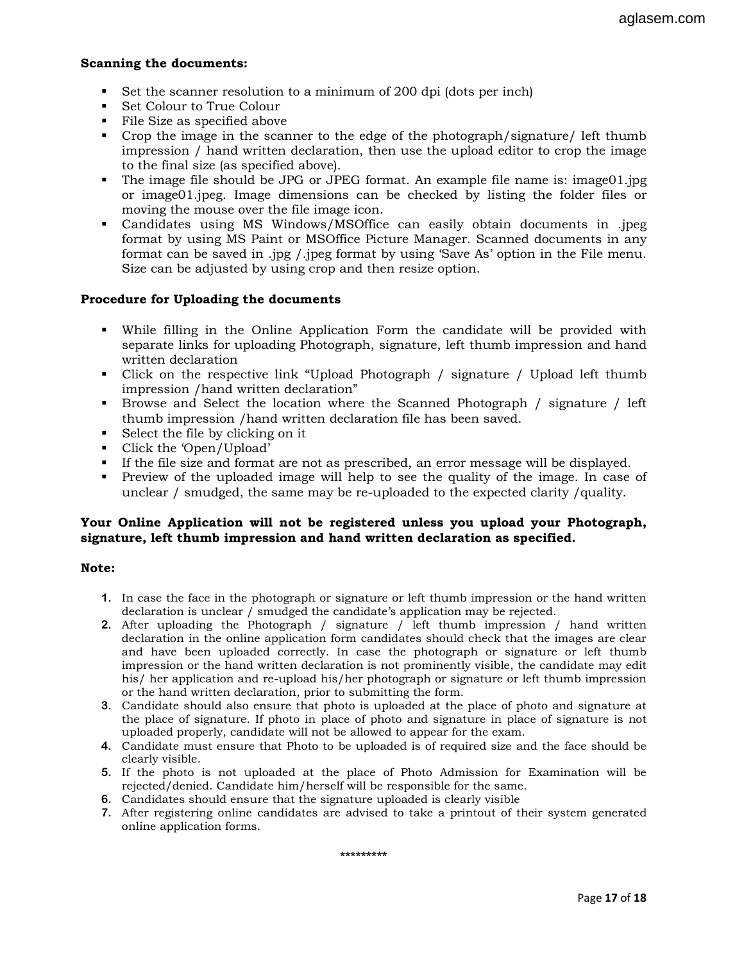#### Scanning the documents:

- Set the scanner resolution to a minimum of 200 dpi (dots per inch)
- Set Colour to True Colour
- File Size as specified above
- Crop the image in the scanner to the edge of the photograph/signature/ left thumb impression / hand written declaration, then use the upload editor to crop the image to the final size (as specified above).
- The image file should be JPG or JPEG format. An example file name is: image01.jpg or image01.jpeg. Image dimensions can be checked by listing the folder files or moving the mouse over the file image icon.
- Candidates using MS Windows/MSOffice can easily obtain documents in .jpeg format by using MS Paint or MSOffice Picture Manager. Scanned documents in any format can be saved in .jpg /.jpeg format by using 'Save As' option in the File menu. Size can be adjusted by using crop and then resize option.

#### Procedure for Uploading the documents

- While filling in the Online Application Form the candidate will be provided with separate links for uploading Photograph, signature, left thumb impression and hand written declaration
- Click on the respective link "Upload Photograph / signature / Upload left thumb impression /hand written declaration"
- Browse and Select the location where the Scanned Photograph / signature / left thumb impression /hand written declaration file has been saved.
- Select the file by clicking on it
- Click the 'Open/Upload'
- If the file size and format are not as prescribed, an error message will be displayed.
- Preview of the uploaded image will help to see the quality of the image. In case of unclear / smudged, the same may be re-uploaded to the expected clarity /quality.

#### Your Online Application will not be registered unless you upload your Photograph, signature, left thumb impression and hand written declaration as specified.

#### Note:

- 1. In case the face in the photograph or signature or left thumb impression or the hand written declaration is unclear / smudged the candidate's application may be rejected.
- 2. After uploading the Photograph / signature / left thumb impression / hand written declaration in the online application form candidates should check that the images are clear and have been uploaded correctly. In case the photograph or signature or left thumb impression or the hand written declaration is not prominently visible, the candidate may edit his/ her application and re-upload his/her photograph or signature or left thumb impression or the hand written declaration, prior to submitting the form.
- 3. Candidate should also ensure that photo is uploaded at the place of photo and signature at the place of signature. If photo in place of photo and signature in place of signature is not uploaded properly, candidate will not be allowed to appear for the exam.
- 4. Candidate must ensure that Photo to be uploaded is of required size and the face should be clearly visible.
- 5. If the photo is not uploaded at the place of Photo Admission for Examination will be rejected/denied. Candidate him/herself will be responsible for the same.
- 6. Candidates should ensure that the signature uploaded is clearly visible
- 7. After registering online candidates are advised to take a printout of their system generated online application forms.

#### \*\*\*\*\*\*\*\*\*